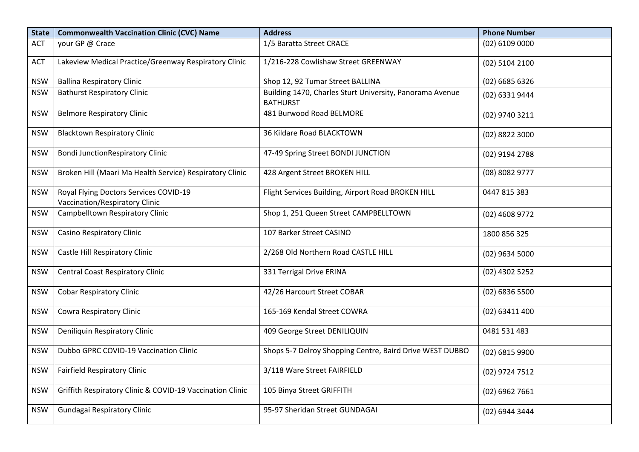| <b>State</b> | <b>Commonwealth Vaccination Clinic (CVC) Name</b>                        | <b>Address</b>                                                              | <b>Phone Number</b> |
|--------------|--------------------------------------------------------------------------|-----------------------------------------------------------------------------|---------------------|
| <b>ACT</b>   | your GP @ Crace                                                          | 1/5 Baratta Street CRACE                                                    | $(02)$ 6109 0000    |
| <b>ACT</b>   | Lakeview Medical Practice/Greenway Respiratory Clinic                    | 1/216-228 Cowlishaw Street GREENWAY                                         | $(02)$ 5104 2100    |
| <b>NSW</b>   | <b>Ballina Respiratory Clinic</b>                                        | Shop 12, 92 Tumar Street BALLINA                                            | (02) 6685 6326      |
| <b>NSW</b>   | <b>Bathurst Respiratory Clinic</b>                                       | Building 1470, Charles Sturt University, Panorama Avenue<br><b>BATHURST</b> | (02) 6331 9444      |
| <b>NSW</b>   | <b>Belmore Respiratory Clinic</b>                                        | 481 Burwood Road BELMORE                                                    | (02) 9740 3211      |
| <b>NSW</b>   | <b>Blacktown Respiratory Clinic</b>                                      | 36 Kildare Road BLACKTOWN                                                   | (02) 8822 3000      |
| <b>NSW</b>   | <b>Bondi JunctionRespiratory Clinic</b>                                  | 47-49 Spring Street BONDI JUNCTION                                          | (02) 9194 2788      |
| <b>NSW</b>   | Broken Hill (Maari Ma Health Service) Respiratory Clinic                 | 428 Argent Street BROKEN HILL                                               | (08) 8082 9777      |
| <b>NSW</b>   | Royal Flying Doctors Services COVID-19<br>Vaccination/Respiratory Clinic | Flight Services Building, Airport Road BROKEN HILL                          | 0447 815 383        |
| <b>NSW</b>   | Campbelltown Respiratory Clinic                                          | Shop 1, 251 Queen Street CAMPBELLTOWN                                       | (02) 4608 9772      |
| <b>NSW</b>   | <b>Casino Respiratory Clinic</b>                                         | 107 Barker Street CASINO                                                    | 1800 856 325        |
| <b>NSW</b>   | Castle Hill Respiratory Clinic                                           | 2/268 Old Northern Road CASTLE HILL                                         | $(02)$ 9634 5000    |
| <b>NSW</b>   | <b>Central Coast Respiratory Clinic</b>                                  | 331 Terrigal Drive ERINA                                                    | (02) 4302 5252      |
| <b>NSW</b>   | <b>Cobar Respiratory Clinic</b>                                          | 42/26 Harcourt Street COBAR                                                 | (02) 6836 5500      |
| <b>NSW</b>   | Cowra Respiratory Clinic                                                 | 165-169 Kendal Street COWRA                                                 | (02) 63411 400      |
| <b>NSW</b>   | Deniliquin Respiratory Clinic                                            | 409 George Street DENILIQUIN                                                | 0481 531 483        |
| <b>NSW</b>   | Dubbo GPRC COVID-19 Vaccination Clinic                                   | Shops 5-7 Delroy Shopping Centre, Baird Drive WEST DUBBO                    | (02) 6815 9900      |
| <b>NSW</b>   | <b>Fairfield Respiratory Clinic</b>                                      | 3/118 Ware Street FAIRFIELD                                                 | (02) 9724 7512      |
| <b>NSW</b>   | Griffith Respiratory Clinic & COVID-19 Vaccination Clinic                | 105 Binya Street GRIFFITH                                                   | $(02)$ 6962 7661    |
| <b>NSW</b>   | Gundagai Respiratory Clinic                                              | 95-97 Sheridan Street GUNDAGAI                                              | (02) 6944 3444      |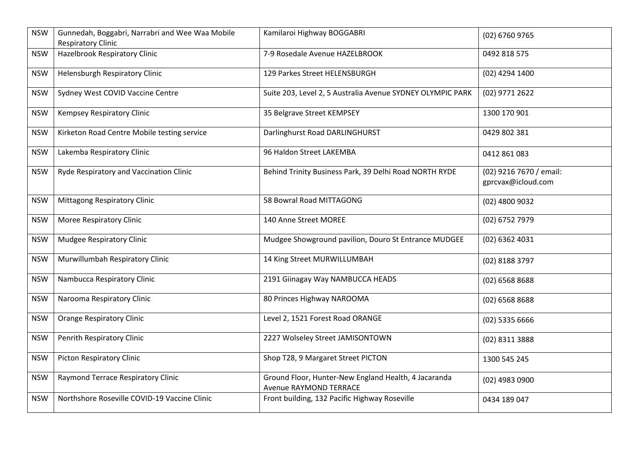| <b>NSW</b> | Gunnedah, Boggabri, Narrabri and Wee Waa Mobile<br><b>Respiratory Clinic</b> | Kamilaroi Highway BOGGABRI                                                     | (02) 6760 9765                                |
|------------|------------------------------------------------------------------------------|--------------------------------------------------------------------------------|-----------------------------------------------|
| <b>NSW</b> | Hazelbrook Respiratory Clinic                                                | 7-9 Rosedale Avenue HAZELBROOK                                                 | 0492 818 575                                  |
| <b>NSW</b> | Helensburgh Respiratory Clinic                                               | 129 Parkes Street HELENSBURGH                                                  | (02) 4294 1400                                |
| <b>NSW</b> | Sydney West COVID Vaccine Centre                                             | Suite 203, Level 2, 5 Australia Avenue SYDNEY OLYMPIC PARK                     | (02) 9771 2622                                |
| <b>NSW</b> | Kempsey Respiratory Clinic                                                   | 35 Belgrave Street KEMPSEY                                                     | 1300 170 901                                  |
| <b>NSW</b> | Kirketon Road Centre Mobile testing service                                  | Darlinghurst Road DARLINGHURST                                                 | 0429 802 381                                  |
| <b>NSW</b> | Lakemba Respiratory Clinic                                                   | 96 Haldon Street LAKEMBA                                                       | 0412 861 083                                  |
| <b>NSW</b> | Ryde Respiratory and Vaccination Clinic                                      | Behind Trinity Business Park, 39 Delhi Road NORTH RYDE                         | (02) 9216 7670 / email:<br>gprcvax@icloud.com |
| <b>NSW</b> | <b>Mittagong Respiratory Clinic</b>                                          | 58 Bowral Road MITTAGONG                                                       | (02) 4800 9032                                |
| <b>NSW</b> | Moree Respiratory Clinic                                                     | 140 Anne Street MOREE                                                          | (02) 6752 7979                                |
| <b>NSW</b> | Mudgee Respiratory Clinic                                                    | Mudgee Showground pavilion, Douro St Entrance MUDGEE                           | (02) 6362 4031                                |
| <b>NSW</b> | Murwillumbah Respiratory Clinic                                              | 14 King Street MURWILLUMBAH                                                    | (02) 8188 3797                                |
| <b>NSW</b> | Nambucca Respiratory Clinic                                                  | 2191 Giinagay Way NAMBUCCA HEADS                                               | (02) 6568 8688                                |
| <b>NSW</b> | Narooma Respiratory Clinic                                                   | 80 Princes Highway NAROOMA                                                     | $(02)$ 6568 8688                              |
| <b>NSW</b> | <b>Orange Respiratory Clinic</b>                                             | Level 2, 1521 Forest Road ORANGE                                               | (02) 5335 6666                                |
| <b>NSW</b> | Penrith Respiratory Clinic                                                   | 2227 Wolseley Street JAMISONTOWN                                               | (02) 8311 3888                                |
| <b>NSW</b> | <b>Picton Respiratory Clinic</b>                                             | Shop T28, 9 Margaret Street PICTON                                             | 1300 545 245                                  |
| <b>NSW</b> | Raymond Terrace Respiratory Clinic                                           | Ground Floor, Hunter-New England Health, 4 Jacaranda<br>Avenue RAYMOND TERRACE | (02) 4983 0900                                |
| <b>NSW</b> | Northshore Roseville COVID-19 Vaccine Clinic                                 | Front building, 132 Pacific Highway Roseville                                  | 0434 189 047                                  |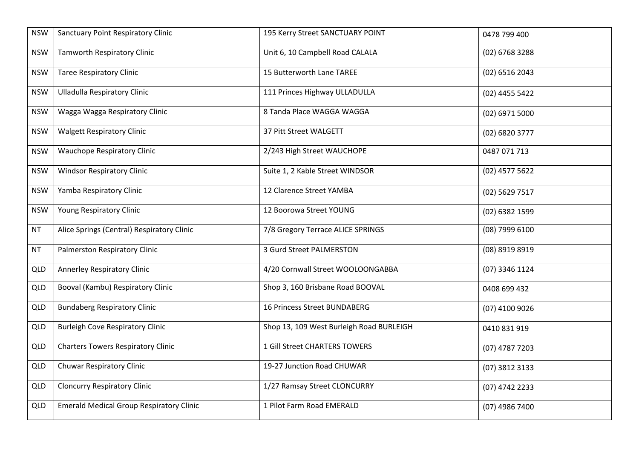| <b>NSW</b> | Sanctuary Point Respiratory Clinic              | 195 Kerry Street SANCTUARY POINT         | 0478 799 400     |
|------------|-------------------------------------------------|------------------------------------------|------------------|
| <b>NSW</b> | <b>Tamworth Respiratory Clinic</b>              | Unit 6, 10 Campbell Road CALALA          | (02) 6768 3288   |
| <b>NSW</b> | <b>Taree Respiratory Clinic</b>                 | 15 Butterworth Lane TAREE                | (02) 6516 2043   |
| <b>NSW</b> | <b>Ulladulla Respiratory Clinic</b>             | 111 Princes Highway ULLADULLA            | (02) 4455 5422   |
| <b>NSW</b> | Wagga Wagga Respiratory Clinic                  | 8 Tanda Place WAGGA WAGGA                | (02) 6971 5000   |
| <b>NSW</b> | <b>Walgett Respiratory Clinic</b>               | 37 Pitt Street WALGETT                   | $(02)$ 6820 3777 |
| <b>NSW</b> | <b>Wauchope Respiratory Clinic</b>              | 2/243 High Street WAUCHOPE               | 0487 071 713     |
| <b>NSW</b> | <b>Windsor Respiratory Clinic</b>               | Suite 1, 2 Kable Street WINDSOR          | (02) 4577 5622   |
| <b>NSW</b> | Yamba Respiratory Clinic                        | 12 Clarence Street YAMBA                 | (02) 5629 7517   |
| <b>NSW</b> | Young Respiratory Clinic                        | 12 Boorowa Street YOUNG                  | (02) 6382 1599   |
| NT         | Alice Springs (Central) Respiratory Clinic      | 7/8 Gregory Terrace ALICE SPRINGS        | (08) 7999 6100   |
| NT         | Palmerston Respiratory Clinic                   | 3 Gurd Street PALMERSTON                 | (08) 8919 8919   |
| <b>QLD</b> | Annerley Respiratory Clinic                     | 4/20 Cornwall Street WOOLOONGABBA        | (07) 3346 1124   |
| <b>QLD</b> | Booval (Kambu) Respiratory Clinic               | Shop 3, 160 Brisbane Road BOOVAL         | 0408 699 432     |
| <b>QLD</b> | <b>Bundaberg Respiratory Clinic</b>             | 16 Princess Street BUNDABERG             | (07) 4100 9026   |
| <b>QLD</b> | <b>Burleigh Cove Respiratory Clinic</b>         | Shop 13, 109 West Burleigh Road BURLEIGH | 0410 831 919     |
| <b>QLD</b> | <b>Charters Towers Respiratory Clinic</b>       | 1 Gill Street CHARTERS TOWERS            | $(07)$ 4787 7203 |
| <b>QLD</b> | Chuwar Respiratory Clinic                       | 19-27 Junction Road CHUWAR               | (07) 3812 3133   |
| <b>QLD</b> | <b>Cloncurry Respiratory Clinic</b>             | 1/27 Ramsay Street CLONCURRY             | (07) 4742 2233   |
| <b>QLD</b> | <b>Emerald Medical Group Respiratory Clinic</b> | 1 Pilot Farm Road EMERALD                | (07) 4986 7400   |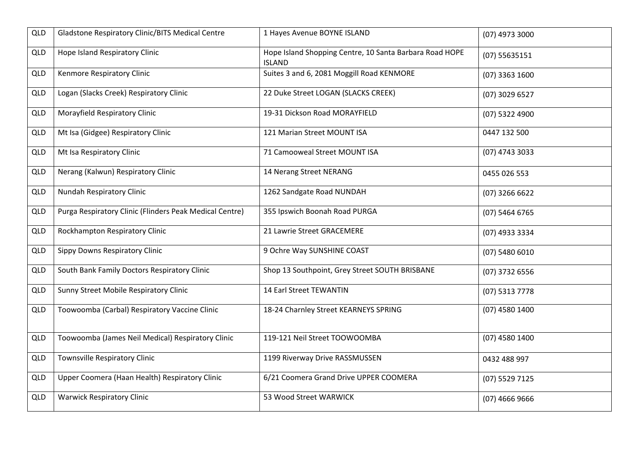| <b>QLD</b> | Gladstone Respiratory Clinic/BITS Medical Centre        | 1 Hayes Avenue BOYNE ISLAND                                              | (07) 4973 3000   |
|------------|---------------------------------------------------------|--------------------------------------------------------------------------|------------------|
| <b>QLD</b> | Hope Island Respiratory Clinic                          | Hope Island Shopping Centre, 10 Santa Barbara Road HOPE<br><b>ISLAND</b> | (07) 55635151    |
| <b>QLD</b> | Kenmore Respiratory Clinic                              | Suites 3 and 6, 2081 Moggill Road KENMORE                                | (07) 3363 1600   |
| <b>QLD</b> | Logan (Slacks Creek) Respiratory Clinic                 | 22 Duke Street LOGAN (SLACKS CREEK)                                      | (07) 3029 6527   |
| <b>QLD</b> | Morayfield Respiratory Clinic                           | 19-31 Dickson Road MORAYFIELD                                            | (07) 5322 4900   |
| <b>QLD</b> | Mt Isa (Gidgee) Respiratory Clinic                      | 121 Marian Street MOUNT ISA                                              | 0447 132 500     |
| <b>QLD</b> | Mt Isa Respiratory Clinic                               | 71 Camooweal Street MOUNT ISA                                            | (07) 4743 3033   |
| <b>QLD</b> | Nerang (Kalwun) Respiratory Clinic                      | 14 Nerang Street NERANG                                                  | 0455 026 553     |
| <b>QLD</b> | Nundah Respiratory Clinic                               | 1262 Sandgate Road NUNDAH                                                | (07) 3266 6622   |
| <b>QLD</b> | Purga Respiratory Clinic (Flinders Peak Medical Centre) | 355 Ipswich Boonah Road PURGA                                            | (07) 5464 6765   |
| <b>QLD</b> | Rockhampton Respiratory Clinic                          | 21 Lawrie Street GRACEMERE                                               | (07) 4933 3334   |
| <b>QLD</b> | Sippy Downs Respiratory Clinic                          | 9 Ochre Way SUNSHINE COAST                                               | (07) 5480 6010   |
| <b>QLD</b> | South Bank Family Doctors Respiratory Clinic            | Shop 13 Southpoint, Grey Street SOUTH BRISBANE                           | (07) 3732 6556   |
| <b>QLD</b> | Sunny Street Mobile Respiratory Clinic                  | 14 Earl Street TEWANTIN                                                  | (07) 5313 7778   |
| <b>QLD</b> | Toowoomba (Carbal) Respiratory Vaccine Clinic           | 18-24 Charnley Street KEARNEYS SPRING                                    | (07) 4580 1400   |
| <b>QLD</b> | Toowoomba (James Neil Medical) Respiratory Clinic       | 119-121 Neil Street TOOWOOMBA                                            | (07) 4580 1400   |
| <b>QLD</b> | <b>Townsville Respiratory Clinic</b>                    | 1199 Riverway Drive RASSMUSSEN                                           | 0432 488 997     |
| <b>QLD</b> | Upper Coomera (Haan Health) Respiratory Clinic          | 6/21 Coomera Grand Drive UPPER COOMERA                                   | (07) 5529 7125   |
| <b>QLD</b> | <b>Warwick Respiratory Clinic</b>                       | 53 Wood Street WARWICK                                                   | $(07)$ 4666 9666 |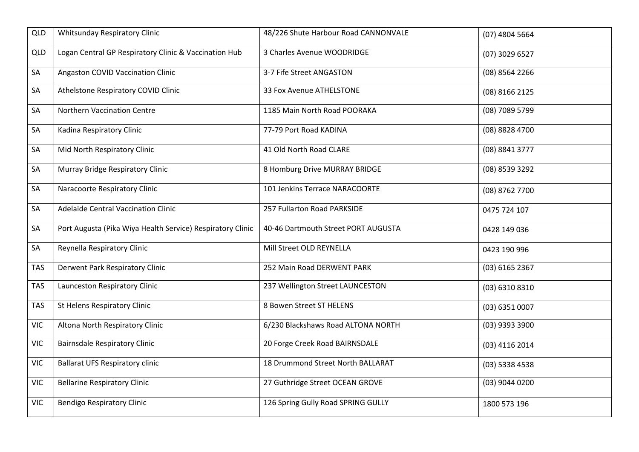| <b>QLD</b> | <b>Whitsunday Respiratory Clinic</b>                       | 48/226 Shute Harbour Road CANNONVALE | (07) 4804 5664   |
|------------|------------------------------------------------------------|--------------------------------------|------------------|
| <b>QLD</b> | Logan Central GP Respiratory Clinic & Vaccination Hub      | 3 Charles Avenue WOODRIDGE           | (07) 3029 6527   |
| SA         | Angaston COVID Vaccination Clinic                          | 3-7 Fife Street ANGASTON             | (08) 8564 2266   |
| SA         | Athelstone Respiratory COVID Clinic                        | 33 Fox Avenue ATHELSTONE             | (08) 8166 2125   |
| SA         | Northern Vaccination Centre                                | 1185 Main North Road POORAKA         | (08) 7089 5799   |
| SA         | Kadina Respiratory Clinic                                  | 77-79 Port Road KADINA               | (08) 8828 4700   |
| SA         | Mid North Respiratory Clinic                               | 41 Old North Road CLARE              | (08) 8841 3777   |
| SA         | Murray Bridge Respiratory Clinic                           | 8 Homburg Drive MURRAY BRIDGE        | (08) 8539 3292   |
| SA         | Naracoorte Respiratory Clinic                              | 101 Jenkins Terrace NARACOORTE       | (08) 8762 7700   |
| SA         | <b>Adelaide Central Vaccination Clinic</b>                 | 257 Fullarton Road PARKSIDE          | 0475 724 107     |
| SA         | Port Augusta (Pika Wiya Health Service) Respiratory Clinic | 40-46 Dartmouth Street PORT AUGUSTA  | 0428 149 036     |
| SA         | Reynella Respiratory Clinic                                | Mill Street OLD REYNELLA             | 0423 190 996     |
| <b>TAS</b> | Derwent Park Respiratory Clinic                            | 252 Main Road DERWENT PARK           | $(03)$ 6165 2367 |
| <b>TAS</b> | Launceston Respiratory Clinic                              | 237 Wellington Street LAUNCESTON     | (03) 6310 8310   |
| <b>TAS</b> | St Helens Respiratory Clinic                               | 8 Bowen Street ST HELENS             | (03) 6351 0007   |
| <b>VIC</b> | Altona North Respiratory Clinic                            | 6/230 Blackshaws Road ALTONA NORTH   | (03) 9393 3900   |
| <b>VIC</b> | <b>Bairnsdale Respiratory Clinic</b>                       | 20 Forge Creek Road BAIRNSDALE       | (03) 4116 2014   |
| <b>VIC</b> | <b>Ballarat UFS Respiratory clinic</b>                     | 18 Drummond Street North BALLARAT    | (03) 5338 4538   |
| <b>VIC</b> | <b>Bellarine Respiratory Clinic</b>                        | 27 Guthridge Street OCEAN GROVE      | (03) 9044 0200   |
| <b>VIC</b> | <b>Bendigo Respiratory Clinic</b>                          | 126 Spring Gully Road SPRING GULLY   | 1800 573 196     |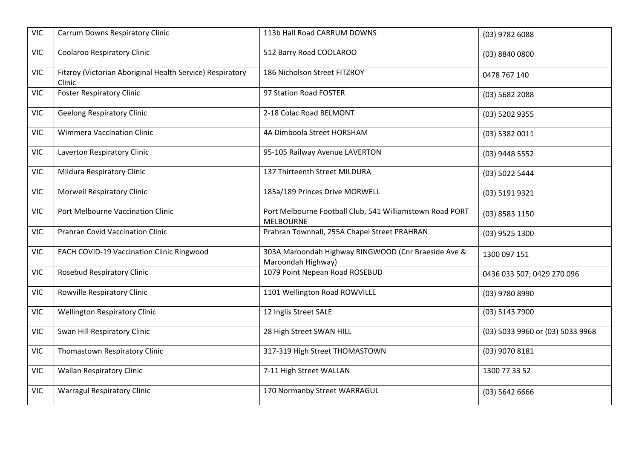| <b>Carrum Downs Respiratory Clinic</b>                              | 113b Hall Road CARRUM DOWNS                                                  | (03) 9782 6088                   |
|---------------------------------------------------------------------|------------------------------------------------------------------------------|----------------------------------|
| Coolaroo Respiratory Clinic                                         | 512 Barry Road COOLAROO                                                      | (03) 8840 0800                   |
| Fitzroy (Victorian Aboriginal Health Service) Respiratory<br>Clinic | 186 Nicholson Street FITZROY                                                 | 0478 767 140                     |
| <b>Foster Respiratory Clinic</b>                                    | 97 Station Road FOSTER                                                       | (03) 5682 2088                   |
| <b>Geelong Respiratory Clinic</b>                                   | 2-18 Colac Road BELMONT                                                      | (03) 5202 9355                   |
| <b>Wimmera Vaccination Clinic</b>                                   | 4A Dimboola Street HORSHAM                                                   | (03) 5382 0011                   |
| Laverton Respiratory Clinic                                         | 95-105 Railway Avenue LAVERTON                                               | (03) 9448 5552                   |
| Mildura Respiratory Clinic                                          | 137 Thirteenth Street MILDURA                                                | (03) 5022 5444                   |
| <b>Morwell Respiratory Clinic</b>                                   | 185a/189 Princes Drive MORWELL                                               | (03) 5191 9321                   |
| Port Melbourne Vaccination Clinic                                   | Port Melbourne Football Club, 541 Williamstown Road PORT<br><b>MELBOURNE</b> | (03) 8583 1150                   |
| Prahran Covid Vaccination Clinic                                    | Prahran Townhall, 255A Chapel Street PRAHRAN                                 | (03) 9525 1300                   |
| <b>EACH COVID-19 Vaccination Clinic Ringwood</b>                    | 303A Maroondah Highway RINGWOOD (Cnr Braeside Ave &<br>Maroondah Highway)    | 1300 097 151                     |
| <b>Rosebud Respiratory Clinic</b>                                   | 1079 Point Nepean Road ROSEBUD                                               | 0436 033 507; 0429 270 096       |
| Rowville Respiratory Clinic                                         | 1101 Wellington Road ROWVILLE                                                | (03) 9780 8990                   |
| <b>Wellington Respiratory Clinic</b>                                | 12 Inglis Street SALE                                                        | (03) 5143 7900                   |
| Swan Hill Respiratory Clinic                                        | 28 High Street SWAN HILL                                                     | (03) 5033 9960 or (03) 5033 9968 |
| Thomastown Respiratory Clinic                                       | 317-319 High Street THOMASTOWN                                               | (03) 9070 8181                   |
| <b>Wallan Respiratory Clinic</b>                                    | 7-11 High Street WALLAN                                                      | 1300 77 33 52                    |
| <b>Warragul Respiratory Clinic</b>                                  | 170 Normanby Street WARRAGUL                                                 | $(03)$ 5642 6666                 |
|                                                                     |                                                                              |                                  |